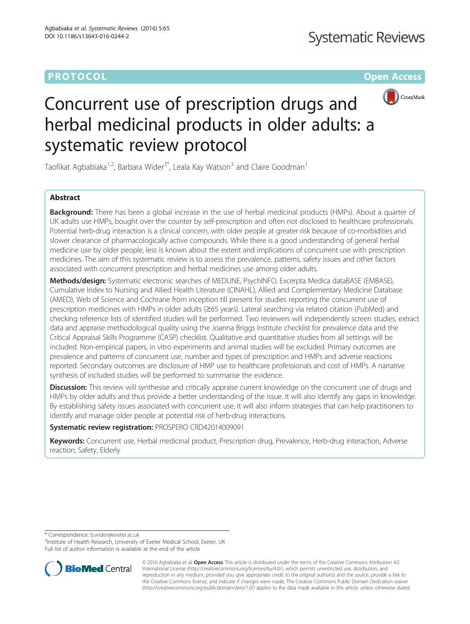# **PROTOCOL CONSUMING THE OPEN ACCESS**



# Concurrent use of prescription drugs and herbal medicinal products in older adults: a systematic review protocol

Taofikat Agbabiaka<sup>1,2</sup>, Barbara Wider<sup>3\*</sup>, Leala Kay Watson<sup>3</sup> and Claire Goodman<sup>1</sup>

# Abstract

**Background:** There has been a global increase in the use of herbal medicinal products (HMPs). About a quarter of UK adults use HMPs, bought over the counter by self-prescription and often not disclosed to healthcare professionals. Potential herb-drug interaction is a clinical concern, with older people at greater risk because of co-morbidities and slower clearance of pharmacologically active compounds. While there is a good understanding of general herbal medicine use by older people, less is known about the extent and implications of concurrent use with prescription medicines. The aim of this systematic review is to assess the prevalence, patterns, safety issues and other factors associated with concurrent prescription and herbal medicines use among older adults.

Methods/design: Systematic electronic searches of MEDLINE, PsychINFO, Excerpta Medica dataBASE (EMBASE), Cumulative Index to Nursing and Allied Health Literature (CINAHL), Allied and Complementary Medicine Database (AMED), Web of Science and Cochrane from inception till present for studies reporting the concurrent use of prescription medicines with HMPs in older adults (≥65 years). Lateral searching via related citation (PubMed) and checking reference lists of identified studies will be performed. Two reviewers will independently screen studies, extract data and appraise methodological quality using the Joanna Briggs Institute checklist for prevalence data and the Critical Appraisal Skills Programme (CASP) checklist. Qualitative and quantitative studies from all settings will be included. Non-empirical papers, in vitro experiments and animal studies will be excluded. Primary outcomes are prevalence and patterns of concurrent use, number and types of prescription and HMPs and adverse reactions reported. Secondary outcomes are disclosure of HMP use to healthcare professionals and cost of HMPs. A narrative synthesis of included studies will be performed to summarise the evidence.

Discussion: This review will synthesise and critically appraise current knowledge on the concurrent use of drugs and HMPs by older adults and thus provide a better understanding of the issue. It will also identify any gaps in knowledge. By establishing safety issues associated with concurrent use, it will also inform strategies that can help practitioners to identify and manage older people at potential risk of herb-drug interactions.

# Systematic review registration: PROSPERO [CRD42014009091](http://www.crd.york.ac.uk/prospero/display_record.asp?ID=CRD42014009091)

Keywords: Concurrent use, Herbal medicinal product, Prescription drug, Prevalence, Herb-drug interaction, Adverse reaction, Safety, Elderly

\* Correspondence: [b.wider@exeter.ac.uk](mailto:b.wider@exeter.ac.uk) <sup>3</sup>

<sup>3</sup>Institute of Health Research, University of Exeter Medical School, Exeter, UK Full list of author information is available at the end of the article



© 2016 Agbabiaka et al. Open Access This article is distributed under the terms of the Creative Commons Attribution 4.0 International License [\(http://creativecommons.org/licenses/by/4.0/](http://creativecommons.org/licenses/by/4.0/)), which permits unrestricted use, distribution, and reproduction in any medium, provided you give appropriate credit to the original author(s) and the source, provide a link to the Creative Commons license, and indicate if changes were made. The Creative Commons Public Domain Dedication waiver [\(http://creativecommons.org/publicdomain/zero/1.0/](http://creativecommons.org/publicdomain/zero/1.0/)) applies to the data made available in this article, unless otherwise stated.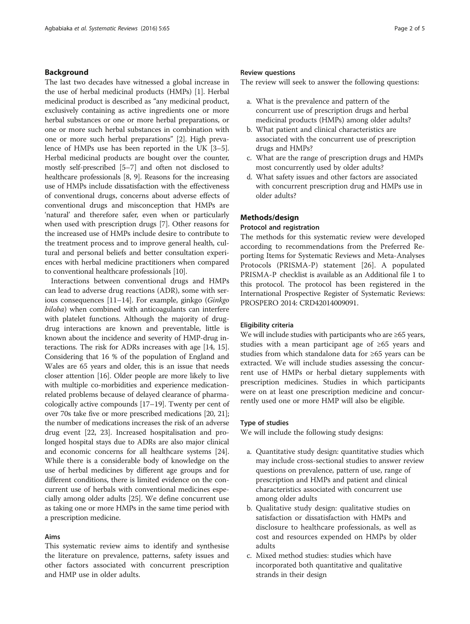# Background

The last two decades have witnessed a global increase in the use of herbal medicinal products (HMPs) [[1](#page-3-0)]. Herbal medicinal product is described as "any medicinal product, exclusively containing as active ingredients one or more herbal substances or one or more herbal preparations, or one or more such herbal substances in combination with one or more such herbal preparations" [[2\]](#page-3-0). High prevalence of HMPs use has been reported in the UK [[3](#page-3-0)–[5](#page-3-0)]. Herbal medicinal products are bought over the counter, mostly self-prescribed [\[5](#page-3-0)–[7](#page-3-0)] and often not disclosed to healthcare professionals [\[8](#page-4-0), [9\]](#page-4-0). Reasons for the increasing use of HMPs include dissatisfaction with the effectiveness of conventional drugs, concerns about adverse effects of conventional drugs and misconception that HMPs are 'natural' and therefore safer, even when or particularly when used with prescription drugs [[7\]](#page-3-0). Other reasons for the increased use of HMPs include desire to contribute to the treatment process and to improve general health, cultural and personal beliefs and better consultation experiences with herbal medicine practitioners when compared to conventional healthcare professionals [\[10](#page-4-0)].

Interactions between conventional drugs and HMPs can lead to adverse drug reactions (ADR), some with serious consequences [[11](#page-4-0)–[14\]](#page-4-0). For example, ginkgo (Ginkgo biloba) when combined with anticoagulants can interfere with platelet functions. Although the majority of drugdrug interactions are known and preventable, little is known about the incidence and severity of HMP-drug interactions. The risk for ADRs increases with age [[14](#page-4-0), [15](#page-4-0)]. Considering that 16 % of the population of England and Wales are 65 years and older, this is an issue that needs closer attention [\[16\]](#page-4-0). Older people are more likely to live with multiple co-morbidities and experience medicationrelated problems because of delayed clearance of pharmacologically active compounds [\[17](#page-4-0)–[19](#page-4-0)]. Twenty per cent of over 70s take five or more prescribed medications [\[20, 21](#page-4-0)]; the number of medications increases the risk of an adverse drug event [\[22, 23\]](#page-4-0). Increased hospitalisation and prolonged hospital stays due to ADRs are also major clinical and economic concerns for all healthcare systems [[24](#page-4-0)]. While there is a considerable body of knowledge on the use of herbal medicines by different age groups and for different conditions, there is limited evidence on the concurrent use of herbals with conventional medicines especially among older adults [[25\]](#page-4-0). We define concurrent use as taking one or more HMPs in the same time period with a prescription medicine.

# Aims

This systematic review aims to identify and synthesise the literature on prevalence, patterns, safety issues and other factors associated with concurrent prescription and HMP use in older adults.

## Review questions

The review will seek to answer the following questions:

- a. What is the prevalence and pattern of the concurrent use of prescription drugs and herbal medicinal products (HMPs) among older adults?
- b. What patient and clinical characteristics are associated with the concurrent use of prescription drugs and HMPs?
- c. What are the range of prescription drugs and HMPs most concurrently used by older adults?
- d. What safety issues and other factors are associated with concurrent prescription drug and HMPs use in older adults?

#### Methods/design

## Protocol and registration

The methods for this systematic review were developed according to recommendations from the Preferred Reporting Items for Systematic Reviews and Meta-Analyses Protocols (PRISMA-P) statement [[26](#page-4-0)]. A populated PRISMA-P checklist is available as an Additional file [1](#page-3-0) to this protocol. The protocol has been registered in the International Prospective Register of Systematic Reviews: PROSPERO 2014: CRD42014009091.

#### Eligibility criteria

We will include studies with participants who are ≥65 years, studies with a mean participant age of ≥65 years and studies from which standalone data for ≥65 years can be extracted. We will include studies assessing the concurrent use of HMPs or herbal dietary supplements with prescription medicines. Studies in which participants were on at least one prescription medicine and concurrently used one or more HMP will also be eligible.

#### Type of studies

We will include the following study designs:

- a. Quantitative study design: quantitative studies which may include cross-sectional studies to answer review questions on prevalence, pattern of use, range of prescription and HMPs and patient and clinical characteristics associated with concurrent use among older adults
- b. Qualitative study design: qualitative studies on satisfaction or dissatisfaction with HMPs and disclosure to healthcare professionals, as well as cost and resources expended on HMPs by older adults
- c. Mixed method studies: studies which have incorporated both quantitative and qualitative strands in their design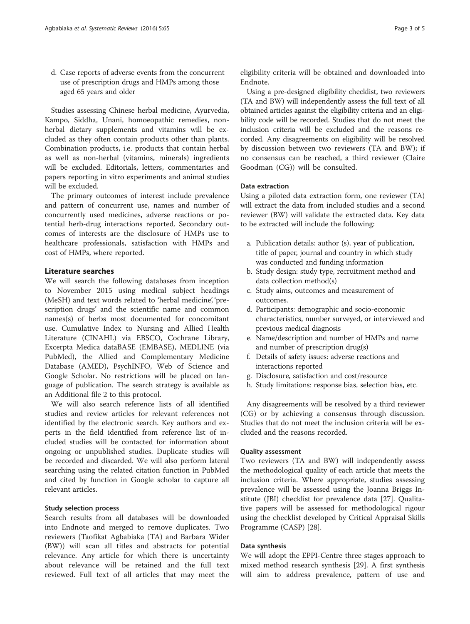d. Case reports of adverse events from the concurrent use of prescription drugs and HMPs among those aged 65 years and older

Studies assessing Chinese herbal medicine, Ayurvedia, Kampo, Siddha, Unani, homoeopathic remedies, nonherbal dietary supplements and vitamins will be excluded as they often contain products other than plants. Combination products, i.e. products that contain herbal as well as non-herbal (vitamins, minerals) ingredients will be excluded. Editorials, letters, commentaries and papers reporting in vitro experiments and animal studies will be excluded.

The primary outcomes of interest include prevalence and pattern of concurrent use, names and number of concurrently used medicines, adverse reactions or potential herb-drug interactions reported. Secondary outcomes of interests are the disclosure of HMPs use to healthcare professionals, satisfaction with HMPs and cost of HMPs, where reported.

# Literature searches

We will search the following databases from inception to November 2015 using medical subject headings (MeSH) and text words related to 'herbal medicine', 'prescription drugs' and the scientific name and common names(s) of herbs most documented for concomitant use. Cumulative Index to Nursing and Allied Health Literature (CINAHL) via EBSCO, Cochrane Library, Excerpta Medica dataBASE (EMBASE), MEDLINE (via PubMed), the Allied and Complementary Medicine Database (AMED), PsychINFO, Web of Science and Google Scholar. No restrictions will be placed on language of publication. The search strategy is available as an Additional file [2](#page-3-0) to this protocol.

We will also search reference lists of all identified studies and review articles for relevant references not identified by the electronic search. Key authors and experts in the field identified from reference list of included studies will be contacted for information about ongoing or unpublished studies. Duplicate studies will be recorded and discarded. We will also perform lateral searching using the related citation function in PubMed and cited by function in Google scholar to capture all relevant articles.

## Study selection process

Search results from all databases will be downloaded into Endnote and merged to remove duplicates. Two reviewers (Taofikat Agbabiaka (TA) and Barbara Wider (BW)) will scan all titles and abstracts for potential relevance. Any article for which there is uncertainty about relevance will be retained and the full text reviewed. Full text of all articles that may meet the

eligibility criteria will be obtained and downloaded into Endnote.

Using a pre-designed eligibility checklist, two reviewers (TA and BW) will independently assess the full text of all obtained articles against the eligibility criteria and an eligibility code will be recorded. Studies that do not meet the inclusion criteria will be excluded and the reasons recorded. Any disagreements on eligibility will be resolved by discussion between two reviewers (TA and BW); if no consensus can be reached, a third reviewer (Claire Goodman (CG)) will be consulted.

#### Data extraction

Using a piloted data extraction form, one reviewer (TA) will extract the data from included studies and a second reviewer (BW) will validate the extracted data. Key data to be extracted will include the following:

- a. Publication details: author (s), year of publication, title of paper, journal and country in which study was conducted and funding information
- b. Study design: study type, recruitment method and data collection method(s)
- c. Study aims, outcomes and measurement of outcomes.
- d. Participants: demographic and socio-economic characteristics, number surveyed, or interviewed and previous medical diagnosis
- e. Name/description and number of HMPs and name and number of prescription drug(s)
- f. Details of safety issues: adverse reactions and interactions reported
- g. Disclosure, satisfaction and cost/resource
- h. Study limitations: response bias, selection bias, etc.

Any disagreements will be resolved by a third reviewer (CG) or by achieving a consensus through discussion. Studies that do not meet the inclusion criteria will be excluded and the reasons recorded.

## Quality assessment

Two reviewers (TA and BW) will independently assess the methodological quality of each article that meets the inclusion criteria. Where appropriate, studies assessing prevalence will be assessed using the Joanna Briggs Institute (JBI) checklist for prevalence data [[27](#page-4-0)]. Qualitative papers will be assessed for methodological rigour using the checklist developed by Critical Appraisal Skills Programme (CASP) [[28](#page-4-0)].

### Data synthesis

We will adopt the EPPI-Centre three stages approach to mixed method research synthesis [\[29](#page-4-0)]. A first synthesis will aim to address prevalence, pattern of use and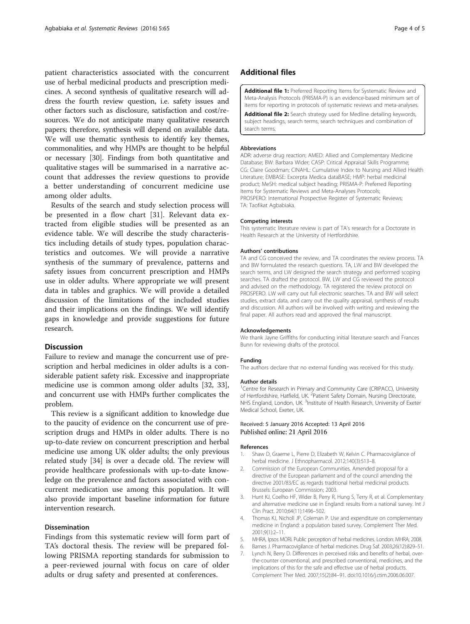<span id="page-3-0"></span>patient characteristics associated with the concurrent use of herbal medicinal products and prescription medicines. A second synthesis of qualitative research will address the fourth review question, i.e. safety issues and other factors such as disclosure, satisfaction and cost/resources. We do not anticipate many qualitative research papers; therefore, synthesis will depend on available data. We will use thematic synthesis to identify key themes, commonalities, and why HMPs are thought to be helpful or necessary [[30](#page-4-0)]. Findings from both quantitative and qualitative stages will be summarised in a narrative account that addresses the review questions to provide a better understanding of concurrent medicine use among older adults.

Results of the search and study selection process will be presented in a flow chart [\[31](#page-4-0)]. Relevant data extracted from eligible studies will be presented as an evidence table. We will describe the study characteristics including details of study types, population characteristics and outcomes. We will provide a narrative synthesis of the summary of prevalence, patterns and safety issues from concurrent prescription and HMPs use in older adults. Where appropriate we will present data in tables and graphics. We will provide a detailed discussion of the limitations of the included studies and their implications on the findings. We will identify gaps in knowledge and provide suggestions for future research.

#### **Discussion**

Failure to review and manage the concurrent use of prescription and herbal medicines in older adults is a considerable patient safety risk. Excessive and inappropriate medicine use is common among older adults [[32, 33](#page-4-0)], and concurrent use with HMPs further complicates the problem.

This review is a significant addition to knowledge due to the paucity of evidence on the concurrent use of prescription drugs and HMPs in older adults. There is no up-to-date review on concurrent prescription and herbal medicine use among UK older adults; the only previous related study [\[34](#page-4-0)] is over a decade old. The review will provide healthcare professionals with up-to-date knowledge on the prevalence and factors associated with concurrent medication use among this population. It will also provide important baseline information for future intervention research.

## Dissemination

Findings from this systematic review will form part of TA's doctoral thesis. The review will be prepared following PRISMA reporting standards for submission to a peer-reviewed journal with focus on care of older adults or drug safety and presented at conferences.

# Additional files

[Additional file 1:](dx.doi.org/10.1186/s13643-016-0244-2) Preferred Reporting Items for Systematic Review and Meta-Analysis Protocols (PRISMA-P) is an evidence-based minimum set of items for reporting in protocols of systematic reviews and meta-analyses.

[Additional file 2:](dx.doi.org/10.1186/s13643-016-0244-2) Search strategy used for Medline detailing keywords, subject headings, search terms, search techniques and combination of search terms.

#### Abbreviations

ADR: adverse drug reaction; AMED: Allied and Complementary Medicine Database; BW: Barbara Wider; CASP: Critical Appraisal Skills Programme; CG: Claire Goodman; CINAHL: Cumulative Index to Nursing and Allied Health Literature; EMBASE: Excerpta Medica dataBASE; HMP: herbal medicinal product; MeSH: medical subject heading; PRISMA-P: Preferred Reporting Items for Systematic Reviews and Meta-Analyses Protocols; PROSPERO: International Prospective Register of Systematic Reviews; TA: Taofikat Agbabiaka.

#### Competing interests

This systematic literature review is part of TA's research for a Doctorate in Health Research at the University of Hertfordshire.

#### Authors' contributions

TA and CG conceived the review, and TA coordinates the review process. TA and BW formulated the research questions. TA, LW and BW developed the search terms, and LW designed the search strategy and performed scoping searches. TA drafted the protocol. BW, LW and CG reviewed the protocol and advised on the methodology. TA registered the review protocol on PROSPERO. LW will carry out full electronic searches. TA and BW will select studies, extract data, and carry out the quality appraisal, synthesis of results and discussion. All authors will be involved with writing and reviewing the final paper. All authors read and approved the final manuscript.

#### Acknowledgements

We thank Jayne Griffiths for conducting initial literature search and Frances Bunn for reviewing drafts of the protocol.

#### Funding

The authors declare that no external funding was received for this study.

#### Author details

<sup>1</sup> Centre for Research in Primary and Community Care (CRIPACC), University of Hertfordshire, Hatfield, UK. <sup>2</sup>Patient Safety Domain, Nursing Directorate NHS England, London, UK.<sup>3</sup> Institute of Health Research, University of Exeter Medical School, Exeter, UK.

#### Received: 5 January 2016 Accepted: 13 April 2016 Published online: 21 April 2016

#### References

- 1. Shaw D, Graeme L, Pierre D, Elizabeth W, Kelvin C. Pharmacovigilance of herbal medicine. J Ethnopharmacol. 2012;140(3):513–8.
- 2. Commission of the European Communities. Amended proposal for a directive of the European parliament and of the council amending the directive 2001/83/EC as regards traditional herbal medicinal products. Brussels: European Commission; 2003.
- 3. Hunt KJ, Coelho HF, Wider B, Perry R, Hung S, Terry R, et al. Complementary and alternative medicine use in England: results from a national survey. Int J Clin Pract. 2010;64(11):1496–502.
- 4. Thomas KJ, Nicholl JP, Coleman P. Use and expenditure on complementary medicine in England: a population based survey. Complement Ther Med. 2001;9(1):2–11.
- 5. MHRA, Ipsos MORI. Public perception of herbal medicines. London: MHRA; 2008.
- 6. Barnes J. Pharmacovigilance of herbal medicines. Drug Saf. 2003;26(12):829–51.
- 7. Lynch N, Berry D. Differences in perceived risks and benefits of herbal, overthe-counter conventional, and prescribed conventional, medicines, and the implications of this for the safe and effective use of herbal products. Complement Ther Med. 2007;15(2):84–91. doi:[10.1016/j.ctim.2006.06.007.](http://dx.doi.org/10.1016/j.ctim.2006.06.007)